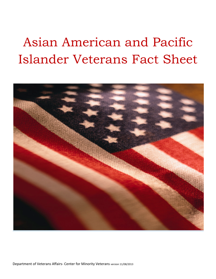# Asian American and Pacific Islander Veterans Fact Sheet



Department of Veterans Affairs- Center for Minority Veterans version 11/08/2013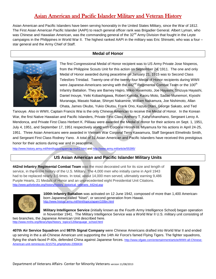# Asian American and Pacific Islander Military and Veteran History

Asian American and Pacific Islanders have been serving honorably in the United States Military, since the War of 1812. The First Asian American Pacific Islander (AAPI) to reach general officer rank was Brigadier General. Albert Lyman, who was Chinese and Hawaiian American, was the commanding general of the 32<sup>nd</sup> Army Division that fought in the Leyte campaigns in the Philippines in World War II. The highest ranked AAPI in the military was Eric Shinseki, who was a four – star general and the Army Chief of Staff.

# **Medal of Honor**



The first Congressional Medal of Honor recipient was to US Army Private Jose Nisperos, from the Philippine Scouts Unit for this action on September 24, 1911. The one and only Medal of Honor awarded during peacetime on January 21, 1915 was to Second Class Telesforo Trinidad. Twenty-one of the twenty-four Medal of Honor recipients during WWII were Japanese-Americans serving with the  $442^{nd}$  Regimental Combat Team or the 100<sup>th</sup> Infantry Battalion. They are Barney Hajiro, Mikio Hasemoto, Joe Hayashi, Shizuya Hayashi, Daniel Inouye, Yeiki Kobashigawa, Robert Kuroda, Kaoru Moto, Sadao Munemori, Kiyoshi Muranaga, Masato Nakae, Shinyei Nakamine, William Nakamura, Joe Nishimoto, Allan Ohata, James Okubo, Yukio Okutsu, Frank Ono, Kazuo Otani, George Sakato, and Ted

Tanouye. Also in WWII, Captain Francis Wai is the only Chinese American to receive the Medal of Honor. In the Korean War, the first Native Hawaiian and Pacific Islanders, Private First Class Anthony T. Kaho'ohanohano, Sergeant Leroy A. Mendonca, and Private First Class Herbert K. Pililaau were awarded the Medal of Honor for their actions on Sept. 1, 1951, July 4, 1951, and September 17, 1951 respectively along with Corporal Hiroshi H. Miyamura for his actions in April 24-25, 1951. Three Asian Americans were awarded in Vietnam War Corporal Terry Kawamura, Staff Sergeant Elmelindo Smith, and Sergeant First Class Rodney Yano. A total of 31 Asian American and Pacific Islanders have received this prestigious honor for their actions during war and in peacetime.

<http://www.history.army.mil/html/topics/apam/ap-moh2.html> an[d http://www.army.mil/article/55395/](http://www.army.mil/article/55395/) 

# **US Asian American and Pacific Islander Military Units**

**442nd Infantry Regimental Combat Team** was the most decorated unit for its size and length of service, in the entire history of the U.S. Military. The 4,000 men who initially came in April 1943 had to be replaced nearly 3.5 times. In total, about 14,000 men served, ultimately earning 9,486 Purple Hearts, 21 Medals of Honor and an unprecedented eight Presidential Unit Citations. [http://www.goforbroke.org/history/history\\_historical\\_veterans\\_442nd.asp](http://www.goforbroke.org/history/history_historical_veterans_442nd.asp)





**100th Infantry Battalion** was activated on 12 June 1942, composed of more than 1,400 Americanborn Japanese called "Nisei", or second generation from Hawaii.<br><http://www.history.army.mil/html/topics/apam/100bn.html>

**Military Intelligence Service** (initially known as the Fourth Army Intelligence School) began operation in November 1941. The Military Intelligence Service was a World War II U.S. military unit consisting of two branches, the Japanese American Unit described here.

[http://www.mnhs.org/library/tips/history\\_topics/120language\\_school.html](http://www.mnhs.org/library/tips/history_topics/120language_school.html)

**407th Air Service Squadron** and **987th Signal Company** were Chinese Americans drafted into World War II and ended up serving in the a all-Chinese American unit supporting the 14th Air Force's famed Flying Tigers. The fighter squadrons, flying the shark-faced P-40s, defended China against Japanese forces. [http://www.sfgate.com/entertainment/article/WWII-all-Chinese-](http://www.sfgate.com/entertainment/article/WWII-all-Chinese-American-unit-reminisces-3215751.php#photo-2358434)[American-unit-reminisces-3215751.php#photo-2358434](http://www.sfgate.com/entertainment/article/WWII-all-Chinese-American-unit-reminisces-3215751.php#photo-2358434)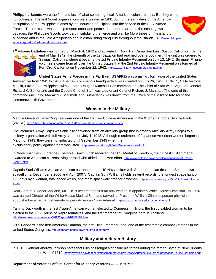**Philippine Scouts** were the first and last of what some might call American colonial troops. But they were not colonials. The first Scout organizations were created in 1901 during the early days of the American occupation of the Philippine Islands by the induction of Filipinos into the service of the U. S. Armed Forces. Their mission was to help restore order and peace to a troubled area. In the ensuing two decades, the Philippine Scouts took part in subduing the fierce and warlike Moro tribes on the island of Mindanao and in the Jolo Archipelago and in establishing tranquility throughout the islands. [http://www.philippine](http://www.philippine-scouts.org/history/history-of-the-scouts.html)[scouts.org/history/history-of-the-scouts.html](http://www.philippine-scouts.org/history/history-of-the-scouts.html)



**1st Filipino Battalion** was formed on March 4, 1942 and activated in April 1 at Camp San Luis Obispo, California. By the



end of May 1942, the strength of the 1st Battalion had reached over 2,000 men. The unit was ordered to Salinas, California where it became the 1st Filipino Infantry Regiment on July 13, 1942. So many Filipino volunteers came from all over the United States that the 2nd Filipino Infantry Regiment was formed at Fort Ord, California on November 22, 1942. <http://www.militarymuseum.org/Filipino.htm>

**United States Army Forces in the Far East** (**USAFFE**) was a military formation of the United States Army active from 1941 to 1946. The new command's headquarters was created on July 26, 1941, at No. 1, Calle Victoria, Manila, Luzon, the Philippines with General Douglas MacArthur as commander. The Chief of Staff was Brigadier General Richard K. Sutherland and the Deputy Chief of Staff was Lieutenant Colonel Richard J. Marshall. The core of this command (including MacArthur, Marshall, and Sutherland) was drawn from the Office of the Military Advisor to the Commonwealth Government.

# **Women in the Military**

Maggie Gee and Hazel Ying Lee were one of the first two Chinese Americans in the Women Airforce Service Pilots (WASP). <http://thepublichistorian.net/2013/02/04/gone-west-former-wasp-maggie-gee/>

The Women's Army Corps was officially converted from an auxiliary group (the Women's Auxiliary Army Corps) to a military organization with full Army status on July 1, 1943. Although recruitment of Japanese American women began in March of 1943, they were not inducted until September 1943 when the exclusionary policy against them was lifted. [http://www.javadc.org/AJA%20women\\_in\\_wwII.htm](http://www.javadc.org/AJA%20women_in_wwII.htm)

In November 1947, Florence (Ebersole) Smith Finch received the U.S. Medal of Freedom, the highest civilian medal awarded to American citizens living abroad who aided in the war effort. [http://www.defense.gov/specials/asianpacific2002/apa](http://www.defense.gov/specials/asianpacific2002/apa-uscg01.html)usca01.html

Captain Suni Williams was an American astronaut and a US Navy officer with Southern Indian descent. She had two spaceflights, December 9 2006 and April 2007. Captain Suni Williams holds several records, the longest spaceflight of 195 days by a woman, total space walks, and most spacewalk time for a woman. [http://www.jsc.nasa.gov/Bios/htmlbios/williams](http://www.jsc.nasa.gov/Bios/htmlbios/williams-s.html)[s.html](http://www.jsc.nasa.gov/Bios/htmlbios/williams-s.html) 

Rear Admiral Eleanor Mariano, MC, USN became the first military woman in appointed White House Physician. In 1994, was named Director of the White House Medical Unit and served as President William Clinton's person physician. In 2000 she became the first female Filipino American Navy Admiral. <http://www.whitehousedoctor.com/bio.html>

Tammy Duckworth is the first Asian-American woman elected to Congress in Illinois, the first disabled woman to be elected to the U.S. House of Representatives, and the first member of Congress born in Thailand. <http://www.prweb.com/releases/2013/3/prweb10582364.htm>

Tulsi Gabbard is the first American Samoan, the first Hindu member, and, one of the first female combat veterans in the United States Congress. <http://gabbard.house.gov/about/full-biography>

# **Military and Veteran History**

In 1815, General Andrew Jackson notes that Filipinos fought alongside his forces during the famed Battle of New Orleans near the end of the War of 1812. [http://www.loc.gov/teachers/classroommaterials/primarysourcesets/veterans/pdf/teacher\\_guide\\_struggles.pdf](http://www.loc.gov/teachers/classroommaterials/primarysourcesets/veterans/pdf/teacher_guide_struggles.pdf)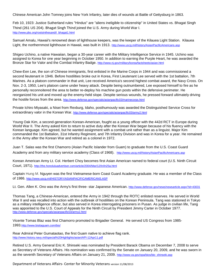Chinese American John Tomney joins New York Infantry, later dies of wounds at Battle of Gettysburg in 1863.

Feb 10, 1923: Justice Sutherland rules "Hindus" are "aliens ineligible to citizenship" in United States vs. Bhagat Singh Thind (261 US 204). Bhagat Singh Thind joined the U.S. Army during World War I. [http://www.pbs.org/rootsinthesand/i\\_bhagat1.html](http://www.pbs.org/rootsinthesand/i_bhagat1.html)

Samuel Amalu, Hawaii's renowned dean of lighthouse keepers, was the keeper of the Kilauea Light Station. Kilauea Light, the northernmost lighthouse in Hawaii, was built in 1913. <http://www.uscg.mil/history/AsianPacificAmericans.asp>

Shigeo Uchino, a native Hawaiian, began a 30-year career with the Military Intelligence Service in 1945. Uchino was assigned to Korea for one year beginning in October 1950. In addition to earning the Purple Heart, he was awarded the Bronze Star for Valor and the Combat Infantry Badge. <http://www.nj.gov/military/korea/factsheets/asian.html>

Chew-Een Lee, the son of Chinese immigrants, first enlisted in the Marine Corps in 1944 and was commissioned a second lieutenant in 1946. Before hostilities broke out in Korea, First Lieutenant Lee served with the 1st battalion, 7th Marines. As a platoon commander in that unit, Lee received America's second highest combat award, the Navy Cross. On Nov. 2-3, 1950, Lee's platoon came under heavy attack. Despite being outnumbered, Lee exposed himself to fire as he personally reconnoitered the area to better re-deploy his machine gun posts within the defensive perimeter. He reorganized his unit and moved up the enemy-held slope. Despite serious wounds, he pressed forward ultimately driving the hostile forces from the area. <http://www.defense.gov/specials/asianpacific03/marinecorps.html>

Private Ichiro Miyasaki, a Nisei from Rexburg, Idaho, posthumously was awarded the Distinguished Service Cross for extraordinary valor in the Korean War. <http://www.defense.gov/specials/asianpacific03/army2.html>

Young Oak Kim, a second-generation Korean-American, fought as a young officer with the 442d RCT in Europe during World War II. The Army asked Kim to return to active duty after the Korean War began because of his fluency with the Korean language. Kim agreed, but he wanted assignment with a combat unit rather than as a linguist. Major Kim commanded the 1st Battalion, 31st Infantry Regiment, and 7th Infantry Division and was in Korea for a year. He remained in the Army after the Korean War and retired as a colonel in 1972.

Juan T. Salas was the first Chamorro (Asian Pacific Islander from Guam) to graduate from the U.S. Coast Guard Academy and from any military service academy (Class of 1968). <http://www.uscg.mil/history/AsianPacificAmericans.asp>

Korean American Army Lt. Col. Herbert Choy becomes first Asian American named to federal court (U.S. Ninth Circuit Court, 1971). <http://the.honoluluadvertiser.com/article/2004/Mar/12/ln/ln25a.html>

Captain Hung M. Nguyen was the first Vietnamese-born Coast Guard Academy graduate. He was a member of the Class of 1986. <http://www.uscg.mil/HISTORY/ASIANPACIFICAMERICANS.ASP>

Lt. Gen. Allen K. Ono was the Army's first three- star Japanese American.<http://www.defense.gov/news/newsarticle.aspx?id=43031>

Thomas Tang, a Chinese-American, entered the Army in 1942 through the ROTC enlisted reserves. He served in World War II and was recalled into action with the outbreak of hostilities on the Korean Peninsula. Tang was stationed in Tokyo as a military intelligence officer, but also served in Korea interrogating prisoners in Pusan. As judge in civilian life, Tang was appointed to the U.S. Court of Appeals for the Ninth Circuit by President Jimmy Carter in October 1977. <http://www.defense.gov/specials/asianpacific03/army2.html>

Vicente Tomas Blaz was first Chamorro promoted to Brigadier General. He served US Congress from 1985- 1993[.http://www.bisitaguam.com/bio/](http://www.bisitaguam.com/bio/)

Rear Admiral Peter Gumataotao, the first Guam native to achieve flag rank. <http://www.history.navy.mil/special%20Highlights/asian/API-12Apr11.pdf>

Retired U.S. Army General Eric K. Shinseki was nominated by President Barack Obama on December 7, 2008 to serve as Secretary of Veterans Affairs. His nomination was confirmed by the Senate on January 20, 2009, and he was sworn in as the seventh Secretary of Veterans Affairs on January 21, 2009. [http://www.va.gov/opa/bios/bio\\_shinseki.asp](http://www.va.gov/opa/bios/bio_shinseki.asp)

Department of Veterans Affairs- Center for Minority Veterans version 11/08/2013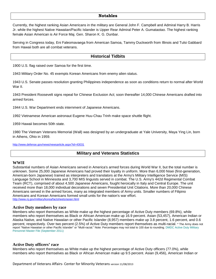#### **Notables**

Currently, the highest ranking Asian Americans in the military are General John F. Campbell and Admiral Harry B. Harris Jr. while the highest Native Hawaiian/Pacific Islander is Upper Rear Admiral Peter A. Gumataotao. The highest ranking female Asian American is Air Force Maj. Gen. Sharon K. G. Dunbar.

Serving in Congress today, Eni Faleomavaega from American Samoa, Tammy Duckworth from Illinois and Tulsi Gabbard from Hawaii both are all combat veterans.

## **Historical Tidbits**

1900 U.S. flag raised over Samoa for the first time.

1943 Military Order No. 45 exempts Korean Americans from enemy alien status.

1943 U.S. Senate passes resolution granting Philippines independence as soon as conditions return to normal after World War II.

1943 President Roosevelt signs repeal for Chinese Exclusion Act; soon thereafter 14,000 Chinese Americans drafted into armed forces.

1944 U.S. War Department ends internment of Japanese Americans.

1992 Vietnamese American astronaut Eugene Huu-Chau Trinh make space shuttle flight.

1959 Hawaii becomes 50th state.

1980 The Vietnam Veterans Memorial (Wall) was designed by an undergraduate at Yale University, Maya Ying Lin, born in Athens, Ohio in 1959.

<http://www.defense.gov/news/newsarticle.aspx?id=43031>

### **Military and Veterans Statistics**

#### **WWII**

Substantial numbers of Asian Americans served in America's armed forces during World War II, but the total number is unknown. Some 25,000 Japanese Americans had proved their loyalty in uniform. More than 6,000 Nisei (first-generation, American-born Japanese) trained as interpreters and translators at the Army's Military Intelligence Service (MIS) Language School in Minnesota and 3,700 MIS linguists served in combat. The U.S. Army's 442d Regimental Combat Team (RCT), comprised of about 4,500 Japanese Americans, fought heroically in Italy and Central Europe. The unit received more than 18,000 individual decorations and seven Presidential Unit Citations. More than 20,000 Chinese Americans served in the armed forces, many as integrated members of Army units. Smaller numbers of Filipino Americans and Korean Americans formed small units for the nation's war effort. <http://www.nj.gov/military/korea/factsheets/asian.html>

#### **Active Duty members by race**

Members who report themselves as White make up the highest percentage of Active Duty members (69.8%), while members who report themselves as Black or African American make up 16.9 percent. Asian (53,457), American Indian or Alaska Native, and Native Hawaiian or other Pacific Islander (8,957) members make up 3.8 percent, 1.6 percent, and 0.6 percent, respectively. Over two percent (2.5%) of Active Duty members report themselves as multi-racial. \* The Army does not report "Native Hawaiian or other Pacific Islander" or "Multi-racial." Note: Percentages may not total to 100 due to rounding. DMDC Active Duty Military Personnel Master File (September 2011)

#### **Active Duty officers' race**

Members who report themselves as White make up the highest percentage of Active Duty officers (77.0%), while members who report themselves as Black or African American make up 9.5 percent. Asian (9,456), American Indian or